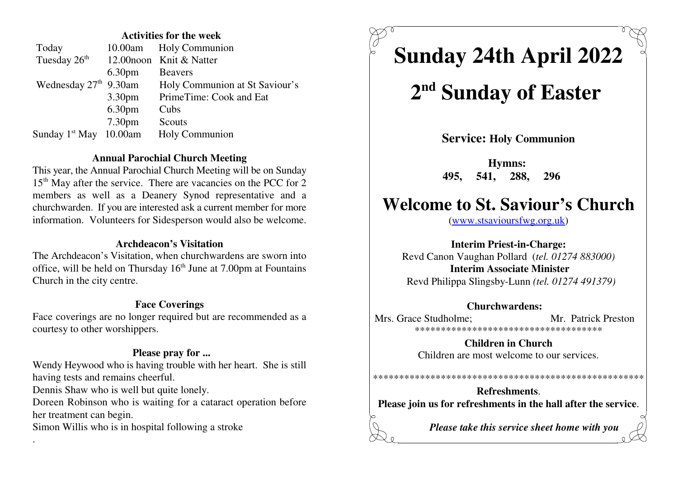#### **Activities for the week**

| Today                             |                    | 10.00am Holy Communion         |
|-----------------------------------|--------------------|--------------------------------|
| Tuesday 26 <sup>th</sup>          |                    | 12.00 noon Knit & Natter       |
|                                   | 6.30 <sub>pm</sub> | <b>Beavers</b>                 |
| Wednesday 27 <sup>th</sup> 9.30am |                    | Holy Communion at St Saviour's |
|                                   | 3.30 <sub>pm</sub> | PrimeTime: Cook and Eat        |
|                                   | 6.30 <sub>pm</sub> | Cubs                           |
|                                   | 7.30 <sub>pm</sub> | Scouts                         |
| Sunday $1st$ May $10.00$ am       |                    | Holy Communion                 |
|                                   |                    |                                |

#### **Annual Parochial Church Meeting**

 This year, the Annual Parochial Church Meeting will be on Sunday $15<sup>th</sup>$  May after the service. There are vacancies on the PCC for 2 members as well as a Deanery Synod representative and a churchwarden. If you are interested ask a current member for moreinformation. Volunteers for Sidesperson would also be welcome.

#### **Archdeacon's Visitation**

 The Archdeacon's Visitation, when churchwardens are sworn intooffice, will be held on Thursday  $16<sup>th</sup>$  June at 7.00pm at Fountains Church in the city centre.

#### **Face Coverings**

 Face coverings are no longer required but are recommended as acourtesy to other worshippers.

#### **Please pray for ...**

 Wendy Heywood who is having trouble with her heart. She is stillhaving tests and remains cheerful.

Dennis Shaw who is well but quite lonely.

 Doreen Robinson who is waiting for a cataract operation beforeher treatment can begin.

Simon Willis who is in hospital following a stroke

**Sunday 24th April 2022**

# 2<sup>nd</sup> Sunday of Easter

**Service: Holy Communion**

**Hymns: 495, 541, 288, 296** 

# **Welcome to St. Saviour's Church**

(www.stsavioursfwg.org.uk)

#### **Interim Priest-in-Charge:** Revd Canon Vaughan Pollard (*tel. 01274 883000)***Interim Associate Minister**Revd Philippa Slingsby-Lunn *(tel. 01274 491379)*

**Churchwardens:** Mrs. Grace Studholme: Mr. Patrick Preston \*\*\*\*\*\*\*\*\*\*\*\*\*\*\*\*\*\*\*\*\*\*\*\*\*\*\*\*\*\*\*\*\*\*\*\*

> **Children in Church**Children are most welcome to our services.

**Refreshments**.**Please join us for refreshments in the hall after the service**.

\*\*\*\*\*\*\*\*\*\*\*\*\*\*\*\*\*\*\*\*\*\*\*\*\*\*\*\*\*\*\*\*\*\*\*\*\*\*\*\*\*\*\*\*\*\*\*\*\*\*\*\*

*Please take this service sheet home with you*